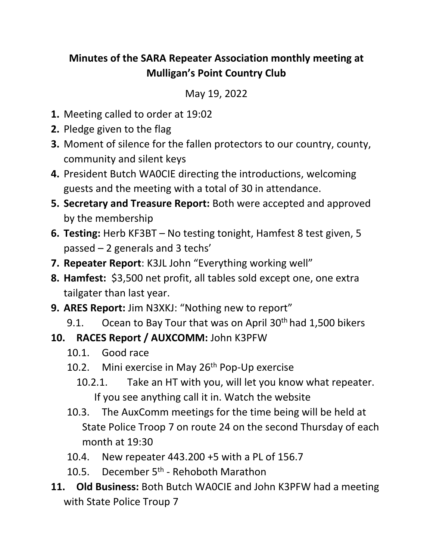## **Minutes of the SARA Repeater Association monthly meeting at Mulligan's Point Country Club**

May 19, 2022

- **1.** Meeting called to order at 19:02
- **2.** Pledge given to the flag
- **3.** Moment of silence for the fallen protectors to our country, county, community and silent keys
- **4.** President Butch WA0CIE directing the introductions, welcoming guests and the meeting with a total of 30 in attendance.
- **5. Secretary and Treasure Report:** Both were accepted and approved by the membership
- **6. Testing:** Herb KF3BT No testing tonight, Hamfest 8 test given, 5 passed – 2 generals and 3 techs'
- **7. Repeater Report**: K3JL John "Everything working well"
- **8. Hamfest:** \$3,500 net profit, all tables sold except one, one extra tailgater than last year.
- **9. ARES Report:** Jim N3XKJ: "Nothing new to report"
	- 9.1. Ocean to Bay Tour that was on April  $30<sup>th</sup>$  had 1,500 bikers
- **10. RACES Report / AUXCOMM:** John K3PFW
	- 10.1. Good race
	- 10.2. Mini exercise in May  $26<sup>th</sup>$  Pop-Up exercise
		- 10.2.1. Take an HT with you, will let you know what repeater. If you see anything call it in. Watch the website
	- 10.3. The AuxComm meetings for the time being will be held at State Police Troop 7 on route 24 on the second Thursday of each month at 19:30
	- 10.4. New repeater 443.200 +5 with a PL of 156.7
	- 10.5. December 5<sup>th</sup> Rehoboth Marathon
- **11. Old Business:** Both Butch WA0CIE and John K3PFW had a meeting with State Police Troup 7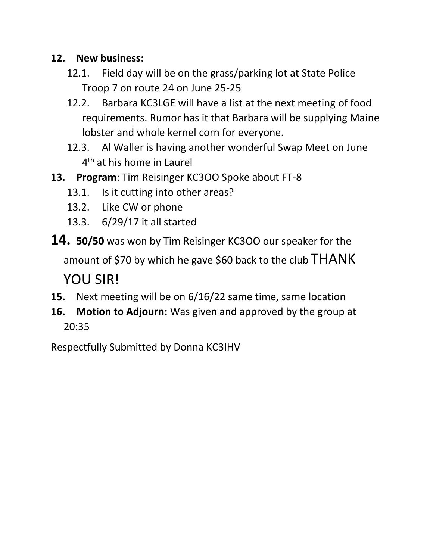## **12. New business:**

- 12.1. Field day will be on the grass/parking lot at State Police Troop 7 on route 24 on June 25-25
- 12.2. Barbara KC3LGE will have a list at the next meeting of food requirements. Rumor has it that Barbara will be supplying Maine lobster and whole kernel corn for everyone.
- 12.3. Al Waller is having another wonderful Swap Meet on June 4<sup>th</sup> at his home in Laurel
- **13. Program**: Tim Reisinger KC3OO Spoke about FT-8
	- 13.1. Is it cutting into other areas?
	- 13.2. Like CW or phone
	- 13.3. 6/29/17 it all started
- **14. 50/50** was won by Tim Reisinger KC3OO our speaker for the

amount of \$70 by which he gave \$60 back to the club THANK

YOU SIR!

- **15.** Next meeting will be on 6/16/22 same time, same location
- **16. Motion to Adjourn:** Was given and approved by the group at 20:35

Respectfully Submitted by Donna KC3IHV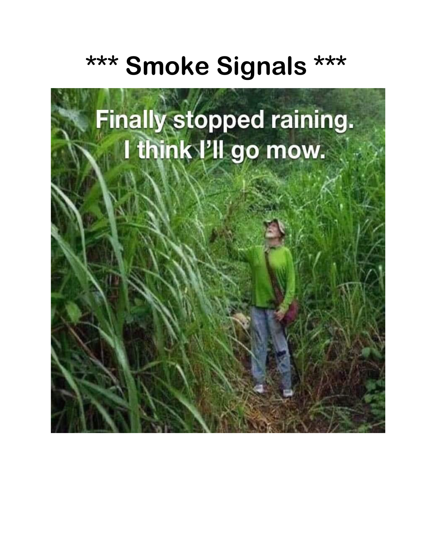## **\*\*\* Smoke Signals \*\*\***

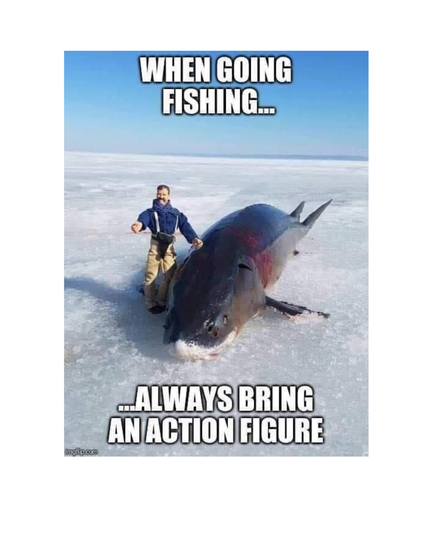